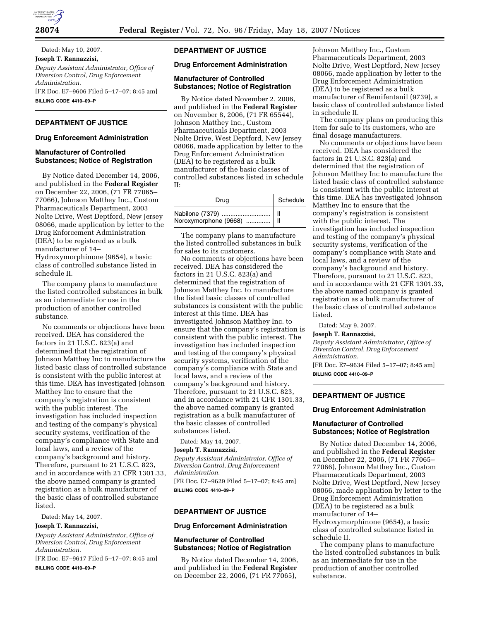

Dated: May 10, 2007. **Joseph T. Rannazzisi,**  *Deputy Assistant Administrator, Office of Diversion Control, Drug Enforcement Administration.*  [FR Doc. E7–9606 Filed 5–17–07; 8:45 am] **BILLING CODE 4410–09–P** 

# **DEPARTMENT OF JUSTICE**

### **Drug Enforcement Administration**

### **Manufacturer of Controlled Substances; Notice of Registration**

By Notice dated December 14, 2006, and published in the **Federal Register**  on December 22, 2006, (71 FR 77065– 77066), Johnson Matthey Inc., Custom Pharmaceuticals Department, 2003 Nolte Drive, West Deptford, New Jersey 08066, made application by letter to the Drug Enforcement Administration (DEA) to be registered as a bulk manufacturer of 14– Hydroxymorphinone (9654), a basic

class of controlled substance listed in schedule II.

The company plans to manufacture the listed controlled substances in bulk as an intermediate for use in the production of another controlled substance.

No comments or objections have been received. DEA has considered the factors in 21 U.S.C. 823(a) and determined that the registration of Johnson Matthey Inc to manufacture the listed basic class of controlled substance is consistent with the public interest at this time. DEA has investigated Johnson Matthey Inc to ensure that the company's registration is consistent with the public interest. The investigation has included inspection and testing of the company's physical security systems, verification of the company's compliance with State and local laws, and a review of the company's background and history. Therefore, pursuant to 21 U.S.C. 823, and in accordance with 21 CFR 1301.33, the above named company is granted registration as a bulk manufacturer of the basic class of controlled substance listed.

Dated: May 14, 2007.

## **Joseph T. Rannazzisi,**

*Deputy Assistant Administrator, Office of Diversion Control, Drug Enforcement Administration.* 

[FR Doc. E7–9617 Filed 5–17–07; 8:45 am]

**BILLING CODE 4410–09–P** 

# **DEPARTMENT OF JUSTICE**

#### **Drug Enforcement Administration**

#### **Manufacturer of Controlled Substances; Notice of Registration**

By Notice dated November 2, 2006, and published in the **Federal Register**  on November 8, 2006, (71 FR 65544), Johnson Matthey Inc., Custom Pharmaceuticals Department, 2003 Nolte Drive, West Deptford, New Jersey 08066, made application by letter to the Drug Enforcement Administration (DEA) to be registered as a bulk manufacturer of the basic classes of controlled substances listed in schedule  $II^{\cdot}$ 

| Drua                                                 | Schedule |
|------------------------------------------------------|----------|
| Nabilone (7379)    II<br>Noroxymorphone (9668)    II |          |

The company plans to manufacture the listed controlled substances in bulk for sales to its customers.

No comments or objections have been received. DEA has considered the factors in 21 U.S.C. 823(a) and determined that the registration of Johnson Matthey Inc. to manufacture the listed basic classes of controlled substances is consistent with the public interest at this time. DEA has investigated Johnson Matthey Inc. to ensure that the company's registration is consistent with the public interest. The investigation has included inspection and testing of the company's physical security systems, verification of the company's compliance with State and local laws, and a review of the company's background and history. Therefore, pursuant to 21 U.S.C. 823, and in accordance with 21 CFR 1301.33, the above named company is granted registration as a bulk manufacturer of the basic classes of controlled substances listed.

Dated: May 14, 2007.

#### **Joseph T. Rannazzisi,**

*Deputy Assistant Administrator, Office of Diversion Control, Drug Enforcement Administration.*  [FR Doc. E7–9629 Filed 5–17–07; 8:45 am] **BILLING CODE 4410–09–P** 

### **DEPARTMENT OF JUSTICE**

#### **Drug Enforcement Administration**

### **Manufacturer of Controlled Substances; Notice of Registration**

By Notice dated December 14, 2006, and published in the **Federal Register**  on December 22, 2006, (71 FR 77065),

Johnson Matthey Inc., Custom Pharmaceuticals Department, 2003 Nolte Drive, West Deptford, New Jersey 08066, made application by letter to the Drug Enforcement Administration (DEA) to be registered as a bulk manufacturer of Remifentanil (9739), a basic class of controlled substance listed in schedule II.

The company plans on producing this item for sale to its customers, who are final dosage manufacturers.

No comments or objections have been received. DEA has considered the factors in 21 U.S.C. 823(a) and determined that the registration of Johnson Matthey Inc to manufacture the listed basic class of controlled substance is consistent with the public interest at this time. DEA has investigated Johnson Matthey Inc to ensure that the company's registration is consistent with the public interest. The investigation has included inspection and testing of the company's physical security systems, verification of the company's compliance with State and local laws, and a review of the company's background and history. Therefore, pursuant to 21 U.S.C. 823, and in accordance with 21 CFR 1301.33, the above named company is granted registration as a bulk manufacturer of the basic class of controlled substance listed.

Dated: May 9, 2007.

#### **Joseph T. Rannazzisi,**

*Deputy Assistant Administrator, Office of Diversion Control, Drug Enforcement Administration.*  [FR Doc. E7–9634 Filed 5–17–07; 8:45 am]

**BILLING CODE 4410–09–P** 

### **DEPARTMENT OF JUSTICE**

#### **Drug Enforcement Administration**

### **Manufacturer of Controlled Substances; Notice of Registration**

By Notice dated December 14, 2006, and published in the **Federal Register**  on December 22, 2006, (71 FR 77065– 77066), Johnson Matthey Inc., Custom Pharmaceuticals Department, 2003 Nolte Drive, West Deptford, New Jersey 08066, made application by letter to the Drug Enforcement Administration (DEA) to be registered as a bulk manufacturer of 14– Hydroxymorphinone (9654), a basic class of controlled substance listed in schedule II.

The company plans to manufacture the listed controlled substances in bulk as an intermediate for use in the production of another controlled substance.